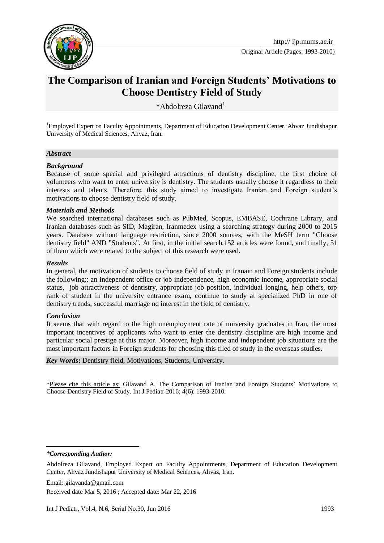

Original Article (Pages: 1993-2010)

# **The Comparison of Iranian and Foreign Students' Motivations to Choose Dentistry Field of Study**

\*Abdolreza Gilavand<sup>1</sup>

<sup>1</sup>Employed Expert on Faculty Appointments, Department of Education Development Center, Ahvaz Jundishapur University of Medical Sciences, Ahvaz, Iran.

#### *Abstract*

#### *Background*

Because of some special and privileged attractions of dentistry discipline, the first choice of volunteers who want to enter university is dentistry. The students usually choose it regardless to their interests and talents. Therefore, this study aimed to investigate Iranian and Foreign student's motivations to choose dentistry field of study.

#### *Materials and Methods*

We searched international databases such as PubMed, Scopus, EMBASE, Cochrane Library, and Iranian databases such as SID, Magiran, Iranmedex using a searching strategy during 2000 to 2015 years. Database without language restriction, since 2000 sources, with the MeSH term "Choose dentistry field" AND "Students"*.* At first, in the initial search,152 articles were found, and finally, 51 of them which were related to the subject of this research were used.

#### *Results*

In general, the motivation of students to choose field of study in Iranain and Foreign students include the following:: an independent office or job independence, high economic income, appropriate social status, job attractiveness of dentistry, appropriate job position, individual longing, help others, top rank of student in the university entrance exam, continue to study at specialized PhD in one of dentistry trends, successful marriage nd interest in the field of dentistry.

#### *Conclusion*

It seems that with regard to the high unemployment rate of university graduates in Iran, the most important incentives of applicants who want to enter the dentistry discipline are high income and particular social prestige at this major. Moreover, high income and independent job situations are the most important factors in Foreign students for choosing this filed of study in the overseas studies.

#### *Key Words***:** Dentistry field, Motivations, Students, University.

\*Please cite this article as: Gilavand A. The Comparison of Iranian and Foreign Students' Motivations to Choose Dentistry Field of Study. Int J Pediatr 2016; 4(6): 1993-2010.

*\*Corresponding Author:*

**.** 

Email: gilavanda@gmail.com Received date Mar 5, 2016 ; Accepted date: Mar 22, 2016

Abdolreza Gilavand, Employed Expert on Faculty Appointments, Department of Education Development Center, Ahvaz Jundishapur University of Medical Sciences, Ahvaz, Iran.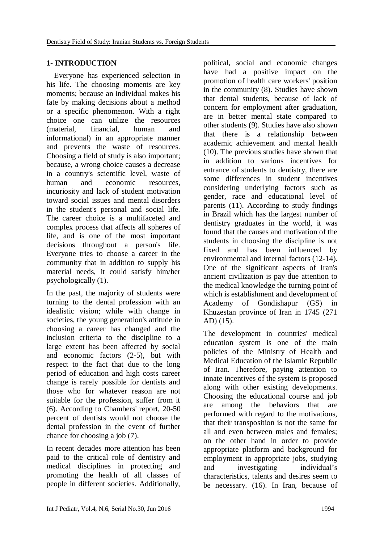## **1- INTRODUCTION**

 Everyone has experienced selection in his life. The choosing moments are key moments; because an individual makes his fate by making decisions about a method or a specific phenomenon. With a right choice one can utilize the resources (material, financial, human and informational) in an appropriate manner and prevents the waste of resources. Choosing a field of study is also important; because, a wrong choice causes a decrease in a country's scientific level, waste of human and economic resources, incuriosity and lack of student motivation toward social issues and mental disorders in the student's personal and social life. The career choice is a multifaceted and complex process that affects all spheres of life, and is one of the most important decisions throughout a person's life. Everyone tries to choose a career in the community that in addition to supply his material needs, it could satisfy him/her psychologically (1).

In the past, the majority of students were turning to the dental profession with an idealistic vision; while with change in societies, the young generation's attitude in choosing a career has changed and the inclusion criteria to the discipline to a large extent has been affected by social and economic factors (2-5), but with respect to the fact that due to the long period of education and high costs career change is rarely possible for dentists and those who for whatever reason are not suitable for the profession, suffer from it (6). According to Chambers' report, 20-50 percent of dentists would not choose the dental profession in the event of further chance for choosing a job (7).

In recent decades more attention has been paid to the critical role of dentistry and medical disciplines in protecting and promoting the health of all classes of people in different societies. Additionally,

political, social and economic changes have had a positive impact on the promotion of health care workers' position in the community (8). Studies have shown that dental students, because of lack of concern for employment after graduation, are in better mental state compared to other students (9). Studies have also shown that there is a relationship between academic achievement and mental health (10). The previous studies have shown that in addition to various incentives for entrance of students to dentistry, there are some differences in student incentives considering underlying factors such as gender, race and educational level of parents (11). According to study findings in Brazil which has the largest number of dentistry graduates in the world, it was found that the causes and motivation of the students in choosing the discipline is not fixed and has been influenced by environmental and internal factors (12-14). One of the significant aspects of Iran's ancient civilization is pay due attention to the medical knowledge the turning point of which is establishment and development of Academy of Gondishapur (GS) in Khuzestan province of Iran in 1745 (271 AD) (15).

The development in countries' medical education system is one of the main policies of the Ministry of Health and Medical Education of the Islamic Republic of Iran. Therefore, paying attention to innate incentives of the system is proposed along with other existing developments. Choosing the educational course and job are among the behaviors that are performed with regard to the motivations, that their transposition is not the same for all and even between males and females; on the other hand in order to provide appropriate platform and background for employment in appropriate jobs, studying and investigating individual's characteristics, talents and desires seem to be necessary. (16). In Iran, because of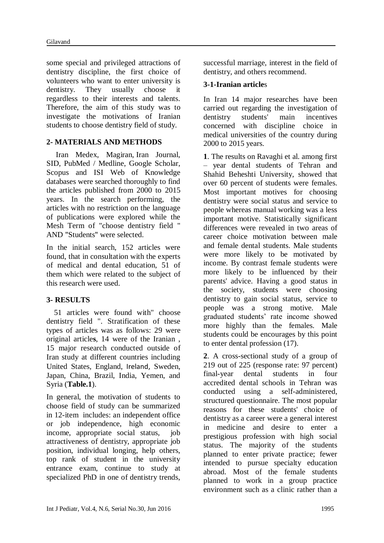some special and privileged attractions of dentistry discipline, the first choice of volunteers who want to enter university is dentistry. They usually choose it regardless to their interests and talents. Therefore, the aim of this study was to investigate the motivations of Iranian students to choose dentistry field of study.

### **2- MATERIALS AND METHODS**

 Iran Medex, Magiran, Iran Journal, SID, PubMed / Medline, Google Scholar, Scopus and ISI Web of Knowledge databases were searched thoroughly to find the articles published from 2000 to 2015 years. In the search performing, the articles with no restriction on the language of publications were explored while the Mesh Term of "choose dentistry field " AND "Students" were selected.

In the initial search, 152 articles were found, that in consultation with the experts of medical and dental education, 51 of them which were related to the subject of this research were used.

### **3- RESULTS**

 51 articles were found with" choose dentistry field ". Stratification of these types of articles was as follows: 29 were original article**s**, 14 were of the Iranian , 15 major research conducted outside of Iran study at different countries including United States, England, Ireland, Sweden, Japan, China, Brazil, India, Yemen, and Syria (**Table.1**).

In general, the motivation of students to choose field of study can be summarized in 12-item includes: an independent office or job independence, high economic income, appropriate social status, job attractiveness of dentistry, appropriate job position, individual longing, help others, top rank of student in the university entrance exam, continue to study at specialized PhD in one of dentistry trends,

successful marriage, interest in the field of dentistry, and others recommend.

### **3-1-Iranian article**s

In Iran 14 major researches have been carried out regarding the investigation of dentistry students' main incentives concerned with discipline choice in medical universities of the country during 2000 to 2015 years.

**1**. The results on Ravaghi et al. among first – year dental students of Tehran and Shahid Beheshti University, showed that over 60 percent of students were females. Most important motives for choosing dentistry were social status and service to people whereas manual working was a less important motive. Statistically significant differences were revealed in two areas of career choice motivation between male and female dental students. Male students were more likely to be motivated by income. By contrast female students were more likely to be influenced by their parents' advice. Having a good status in the society, students were choosing dentistry to gain social status, service to people was a strong motive. Male graduated students' rate income showed more highly than the females. Male students could be encourages by this point to enter dental profession (17).

**2**. A cross-sectional study of a group of 219 out of 225 (response rate: 97 percent) final-year dental students in four accredited dental schools in Tehran was conducted using a self-administered, structured questionnaire. The most popular reasons for these students' choice of dentistry as a career were a general interest in medicine and desire to enter a prestigious profession with high social status. The majority of the students planned to enter private practice; fewer intended to pursue specialty education abroad. Most of the female students planned to work in a group practice environment such as a clinic rather than a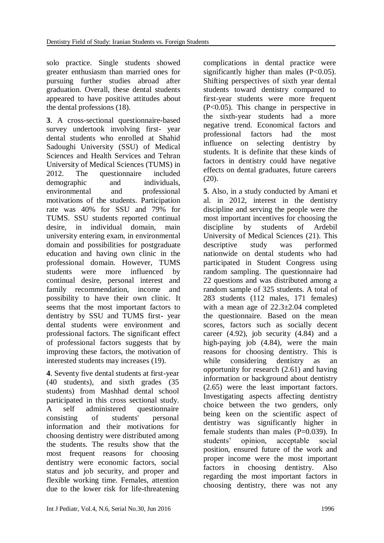solo practice. Single students showed greater enthusiasm than married ones for pursuing further studies abroad after graduation. Overall, these dental students appeared to have positive attitudes about the dental professions (18).

**3**. A cross-sectional questionnaire-based survey undertook involving first- year dental students who enrolled at Shahid Sadoughi University (SSU) of Medical Sciences and Health Services and Tehran University of Medical Sciences (TUMS) in 2012. The questionnaire included demographic and individuals, environmental and professional motivations of the students. Participation rate was 40% for SSU and 79% for TUMS. SSU students reported continual desire, in individual domain, main university entering exam, in environmental domain and possibilities for postgraduate education and having own clinic in the professional domain. However, TUMS students were more influenced by continual desire, personal interest and family recommendation, income and possibility to have their own clinic. It seems that the most important factors to dentistry by SSU and TUMS first- year dental students were environment and professional factors. The significant effect of professional factors suggests that by improving these factors, the motivation of interested students may increases (19).

**4**. Seventy five dental students at first-year (40 students), and sixth grades (35 students) from Mashhad dental school participated in this cross sectional study. A self administered questionnaire consisting of students' personal information and their motivations for choosing dentistry were distributed among the students. The results show that the most frequent reasons for choosing dentistry were economic factors, social status and job security, and proper and flexible working time. Females, attention due to the lower risk for life-threatening complications in dental practice were significantly higher than males (P<0.05). Shifting perspectives of sixth year dental students toward dentistry compared to first-year students were more frequent (P<0.05). This change in perspective in the sixth-year students had a more negative trend. Economical factors and professional factors had the most influence on selecting dentistry by students. It is definite that these kinds of factors in dentistry could have negative effects on dental graduates, future careers  $(20)$ .

**5**. Also, in a study conducted by Amani et al. in 2012, interest in the dentistry discipline and serving the people were the most important incentives for choosing the discipline by students of Ardebil University of Medical Sciences (21). This descriptive study was performed nationwide on dental students who had participated in Student Congress using random sampling. The questionnaire had 22 questions and was distributed among a random sample of 325 students. A total of 283 students (112 males, 171 females) with a mean age of 22.3±2.04 completed the questionnaire. Based on the mean scores, factors such as socially decent career  $(4.92)$ , job security  $(4.84)$  and a high-paying job (4.84), were the main reasons for choosing dentistry. This is while considering dentistry as an opportunity for research (2.61) and having information or background about dentistry (2.65) were the least important factors. Investigating aspects affecting dentistry choice between the two genders, only being keen on the scientific aspect of dentistry was significantly higher in female students than males  $(P=0.039)$ . In students' opinion, acceptable social position, ensured future of the work and proper income were the most important factors in choosing dentistry. Also regarding the most important factors in choosing dentistry, there was not any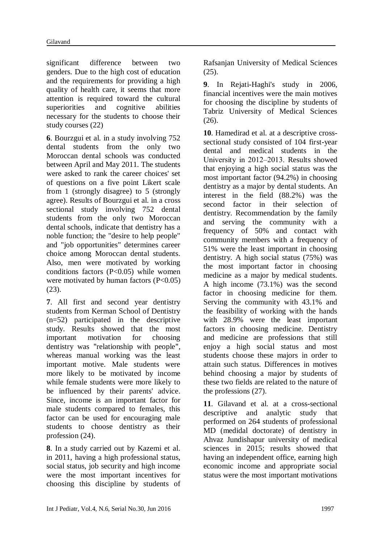significant difference between two genders. Due to the high cost of education and the requirements for providing a high quality of health care, it seems that more attention is required toward the cultural superiorities and cognitive abilities necessary for the students to choose their study courses (22)

**6**. Bourzgui et al. in a study involving 752 dental students from the only two Moroccan dental schools was conducted between April and May 2011. The students were asked to rank the career choices' set of questions on a five point Likert scale from 1 (strongly disagree) to 5 (strongly agree). Results of Bourzgui et al. in a cross sectional study involving 752 dental students from the only two Moroccan dental schools, indicate that dentistry has a noble function; the "desire to help people" and "job opportunities" determines career choice among Moroccan dental students. Also, men were motivated by working conditions factors (P<0.05) while women were motivated by human factors  $(P<0.05)$ (23).

**7**. All first and second year dentistry students from Kerman School of Dentistry (n=52) participated in the descriptive study. Results showed that the most important motivation for choosing dentistry was "relationship with people", whereas manual working was the least important motive. Male students were more likely to be motivated by income while female students were more likely to be influenced by their parents' advice. Since, income is an important factor for male students compared to females, this factor can be used for encouraging male students to choose dentistry as their profession (24).

**8**. In a study carried out by Kazemi et al. in 2011, having a high professional status, social status, job security and high income were the most important incentives for choosing this discipline by students of Rafsanjan University of Medical Sciences (25).

**9**. In Rejati-Haghi's study in 2006, financial incentives were the main motives for choosing the discipline by students of Tabriz University of Medical Sciences (26).

**10**. Hamedirad et al. at a descriptive crosssectional study consisted of 104 first-year dental and medical students in the University in 2012‒2013. Results showed that enjoying a high social status was the most important factor (94.2%) in choosing dentistry as a major by dental students. An interest in the field (88.2%) was the second factor in their selection of dentistry. Recommendation by the family and serving the community with a frequency of 50% and contact with community members with a frequency of 51% were the least important in choosing dentistry. A high social status (75%) was the most important factor in choosing medicine as a major by medical students. A high income (73.1%) was the second factor in choosing medicine for them. Serving the community with 43.1% and the feasibility of working with the hands with 28.9% were the least important factors in choosing medicine. Dentistry and medicine are professions that still enjoy a high social status and most students choose these majors in order to attain such status. Differences in motives behind choosing a major by students of these two fields are related to the nature of the professions (27).

**11**. Gilavand et al. at a cross-sectional descriptive and analytic study that performed on 264 students of professional MD (medidal doctorate) of dentistry in Ahvaz Jundishapur university of medical sciences in 2015; results showed that having an independent office, earning high economic income and appropriate social status were the most important motivations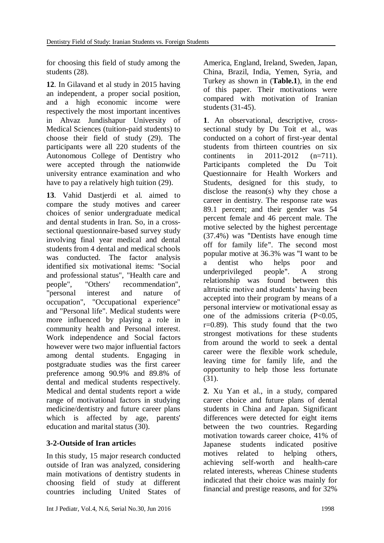for choosing this field of study among the students (28).

**12**. In Gilavand et al study in 2015 having an independent, a proper social position, and a high economic income were respectively the most important incentives in Ahvaz Jundishapur University of Medical Sciences (tuition-paid students) to choose their field of study (29). The participants were all 220 students of the Autonomous College of Dentistry who were accepted through the nationwide university entrance examination and who have to pay a relatively high tuition (29).

**13**. Vahid Dastjerdi et al. aimed to compare the study motives and career choices of senior undergraduate medical and dental students in Iran. So, in a crosssectional questionnaire-based survey study involving final year medical and dental students from 4 dental and medical schools was conducted. The factor analysis identified six motivational items: "Social and professional status", "Health care and people", "Others' recommendation", "personal interest and nature of occupation", "Occupational experience" and "Personal life". Medical students were more influenced by playing a role in community health and Personal interest. Work independence and Social factors however were two major influential factors among dental students. Engaging in postgraduate studies was the first career preference among 90.9% and 89.8% of dental and medical students respectively. Medical and dental students report a wide range of motivational factors in studying medicine/dentistry and future career plans which is affected by age, parents' education and marital status (30).

## **3-2-Outside of Iran article**s

In this study, 15 major research conducted outside of Iran was analyzed, considering main motivations of dentistry students in choosing field of study at different countries including United States of

America, England, Ireland, Sweden, Japan, China, Brazil, India, Yemen, Syria, and Turkey as shown in (**Table.1**), in the end of this paper. Their motivations were compared with motivation of Iranian students (31-45).

**1**. An observational, descriptive, crosssectional study by Du Toit et al., was conducted on a cohort of first-year dental students from thirteen countries on six continents in 2011-2012 (n=711). Participants completed the Du Toit Questionnaire for Health Workers and Students, designed for this study, to disclose the reason(s) why they chose a career in dentistry. The response rate was 89.1 percent; and their gender was 54 percent female and 46 percent male. The motive selected by the highest percentage (37.4%) was "Dentists have enough time off for family life". The second most popular motive at 36.3% was "I want to be a dentist who helps poor and underprivileged people". A strong relationship was found between this altruistic motive and students' having been accepted into their program by means of a personal interview or motivational essay as one of the admissions criteria  $(P<0.05$ ,  $r=0.89$ ). This study found that the two strongest motivations for these students from around the world to seek a dental career were the flexible work schedule, leaving time for family life, and the opportunity to help those less fortunate (31).

**2**. Xu Yan et al., in a study, compared career choice and future plans of dental students in China and Japan. Significant differences were detected for eight items between the two countries. Regarding motivation towards career choice, 41% of Japanese students indicated positive motives related to helping others, achieving self-worth and health-care related interests, whereas Chinese students indicated that their choice was mainly for financial and prestige reasons, and for 32%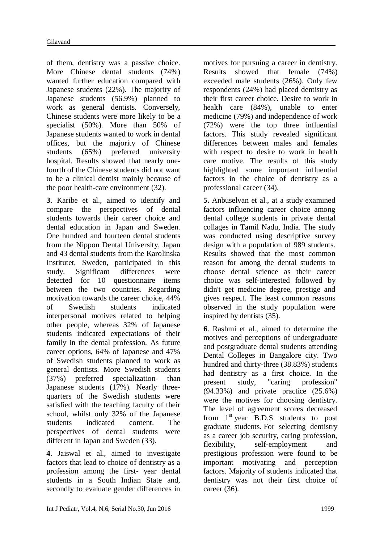of them, dentistry was a passive choice. More Chinese dental students (74%) wanted further education compared with Japanese students (22%). The majority of Japanese students (56.9%) planned to work as general dentists. Conversely, Chinese students were more likely to be a specialist (50%). More than 50% of Japanese students wanted to work in dental offices, but the majority of Chinese students (65%) preferred university hospital. Results showed that nearly onefourth of the Chinese students did not want to be a clinical dentist mainly because of the poor health-care environment (32).

**3**. Karibe et al., aimed to identify and compare the perspectives of dental students towards their career choice and dental education in Japan and Sweden. One hundred and fourteen dental students from the Nippon Dental University, Japan and 43 dental students from the Karolinska Institutet, Sweden, participated in this study. Significant differences were detected for 10 questionnaire items between the two countries. Regarding motivation towards the career choice, 44% of Swedish students indicated interpersonal motives related to helping other people, whereas 32% of Japanese students indicated expectations of their family in the dental profession. As future career options, 64% of Japanese and 47% of Swedish students planned to work as general dentists. More Swedish students (37%) preferred specialization- than Japanese students (17%). Nearly threequarters of the Swedish students were satisfied with the teaching faculty of their school, whilst only 32% of the Japanese students indicated content. The perspectives of dental students were different in Japan and Sweden (33).

**4**. Jaiswal et al., aimed to investigate factors that lead to choice of dentistry as a profession among the first- year dental students in a South Indian State and, secondly to evaluate gender differences in

motives for pursuing a career in dentistry. Results showed that female (74%) exceeded male students (26%). Only few respondents (24%) had placed dentistry as their first career choice. Desire to work in health care (84%), unable to enter medicine (79%) and independence of work (72%) were the top three influential factors. This study revealed significant differences between males and females with respect to desire to work in health care motive. The results of this study highlighted some important influential factors in the choice of dentistry as a professional career (34).

**5.** Anbuselvan et al., at a study examined factors influencing career choice among dental college students in private dental collages in Tamil Nadu, India. The study was conducted using descriptive survey design with a population of 989 students. Results showed that the most common reason for among the dental students to choose dental science as their career choice was self-interested followed by didn't get medicine degree, prestige and gives respect. The least common reasons observed in the study population were inspired by dentists (35).

**6**. Rashmi et al., aimed to determine the motives and perceptions of undergraduate and postgraduate dental students attending Dental Colleges in Bangalore city. Two hundred and thirty-three (38.83%) students had dentistry as a first choice. In the present study, "caring profession" (94.33%) and private practice (25.6%) were the motives for choosing dentistry. The level of agreement scores decreased from  $1<sup>st</sup>$  vear B.D.S students to post graduate students. For selecting dentistry as a career job security, caring profession, flexibility, self-employment and prestigious profession were found to be important motivating and perception factors. Majority of students indicated that dentistry was not their first choice of career (36).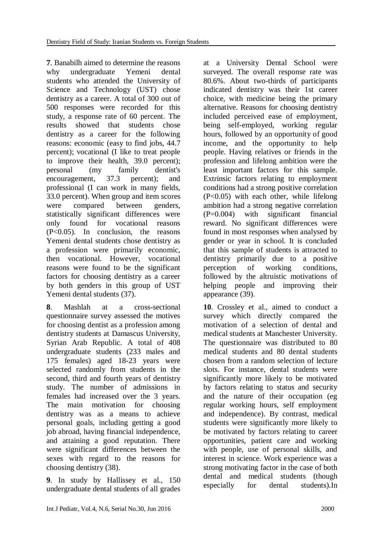**7**. Banabilh aimed to determine the reasons why undergraduate Yemeni dental students who attended the University of Science and Technology (UST) chose dentistry as a career. A total of 300 out of 500 responses were recorded for this study, a response rate of 60 percent. The results showed that students chose dentistry as a career for the following reasons: economic (easy to find jobs, 44.7 percent); vocational (I like to treat people to improve their health, 39.0 percent); personal (my family dentist's encouragement, 37.3 percent); and professional (I can work in many fields, 33.0 percent). When group and item scores were compared between genders, statistically significant differences were only found for vocational reasons (P<0.05). In conclusion, the reasons Yemeni dental students chose dentistry as a profession were primarily economic, then vocational. However, vocational reasons were found to be the significant factors for choosing dentistry as a career by both genders in this group of UST Yemeni dental students (37).

**8**. Mashlah at a cross-sectional questionnaire survey assessed the motives for choosing dentist as a profession among dentistry students at Damascus University, Syrian Arab Republic. A total of 408 undergraduate students (233 males and 175 females) aged 18-23 years were selected randomly from students in the second, third and fourth years of dentistry study. The number of admissions in females had increased over the 3 years. The main motivation for choosing dentistry was as a means to achieve personal goals, including getting a good job abroad, having financial independence, and attaining a good reputation. There were significant differences between the sexes with regard to the reasons for choosing dentistry (38).

**9**. In study by Hallissey et al., 150 undergraduate dental students of all grades at a University Dental School were surveyed. The overall response rate was 80.6%. About two-thirds of participants indicated dentistry was their 1st career choice, with medicine being the primary alternative. Reasons for choosing dentistry included perceived ease of employment, being self-employed, working regular hours, followed by an opportunity of good income, and the opportunity to help people. Having relatives or friends in the profession and lifelong ambition were the least important factors for this sample. Extrinsic factors relating to employment conditions had a strong positive correlation (P<0.05) with each other, while lifelong ambition had a strong negative correlation (P=0.004) with significant financial reward. No significant differences were found in most responses when analysed by gender or year in school. It is concluded that this sample of students is attracted to dentistry primarily due to a positive perception of working conditions, followed by the altruistic motivations of helping people and improving their appearance (39).

**10**. Crossley et al., aimed to conduct a survey which directly compared the motivation of a selection of dental and medical students at Manchester University. The questionnaire was distributed to 80 medical students and 80 dental students chosen from a random selection of lecture slots. For instance, dental students were significantly more likely to be motivated by factors relating to status and security and the nature of their occupation (eg regular working hours, self employment and independence). By contrast, medical students were significantly more likely to be motivated by factors relating to career opportunities, patient care and working with people, use of personal skills, and interest in science. Work experience was a strong motivating factor in the case of both dental and medical students (though especially for dental students).In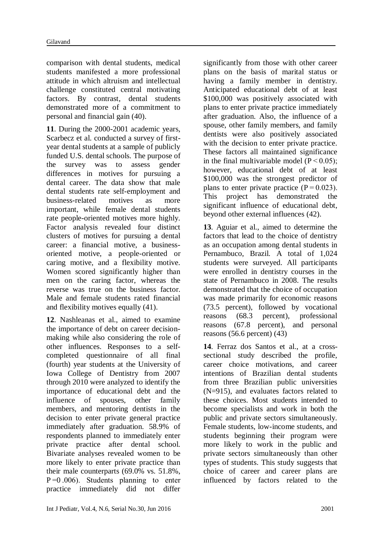comparison with dental students, medical students manifested a more professional attitude in which altruism and intellectual challenge constituted central motivating factors. By contrast, dental students demonstrated more of a commitment to personal and financial gain (40).

**11**. During the 2000-2001 academic years, Scarbecz et al. conducted a survey of firstyear dental students at a sample of publicly funded U.S. dental schools. The purpose of the survey was to assess gender differences in motives for pursuing a dental career. The data show that male dental students rate self-employment and business-related motives as more important, while female dental students rate people-oriented motives more highly. Factor analysis revealed four distinct clusters of motives for pursuing a dental career: a financial motive, a businessoriented motive, a people-oriented or caring motive, and a flexibility motive. Women scored significantly higher than men on the caring factor, whereas the reverse was true on the business factor. Male and female students rated financial and flexibility motives equally (41).

**12**. Nashleanas et al., aimed to examine the importance of debt on career decisionmaking while also considering the role of other influences. Responses to a selfcompleted questionnaire of all final (fourth) year students at the University of Iowa College of Dentistry from 2007 through 2010 were analyzed to identify the importance of educational debt and the influence of spouses, other family members, and mentoring dentists in the decision to enter private general practice immediately after graduation. 58.9% of respondents planned to immediately enter private practice after dental school. Bivariate analyses revealed women to be more likely to enter private practice than their male counterparts (69.0% vs. 51.8%, P =0 .006). Students planning to enter practice immediately did not differ significantly from those with other career plans on the basis of marital status or having a family member in dentistry. Anticipated educational debt of at least \$100,000 was positively associated with plans to enter private practice immediately after graduation. Also, the influence of a spouse, other family members, and family dentists were also positively associated with the decision to enter private practice. These factors all maintained significance in the final multivariable model  $(P < 0.05)$ : however, educational debt of at least \$100,000 was the strongest predictor of plans to enter private practice  $(P=0.023)$ . This project has demonstrated the significant influence of educational debt, beyond other external influences (42).

**13**. Aguiar et al., aimed to determine the factors that lead to the choice of dentistry as an occupation among dental students in Pernambuco, Brazil. A total of 1,024 students were surveyed. All participants were enrolled in dentistry courses in the state of Pernambuco in 2008. The results demonstrated that the choice of occupation was made primarily for economic reasons (73.5 percent), followed by vocational reasons (68.3 percent), professional reasons (67.8 percent), and personal reasons (56.6 percent) (43)

**14**. Ferraz dos Santos et al., at a crosssectional study described the profile, career choice motivations, and career intentions of Brazilian dental students from three Brazilian public universities (N=915), and evaluates factors related to these choices. Most students intended to become specialists and work in both the public and private sectors simultaneously. Female students, low-income students, and students beginning their program were more likely to work in the public and private sectors simultaneously than other types of students. This study suggests that choice of career and career plans are influenced by factors related to the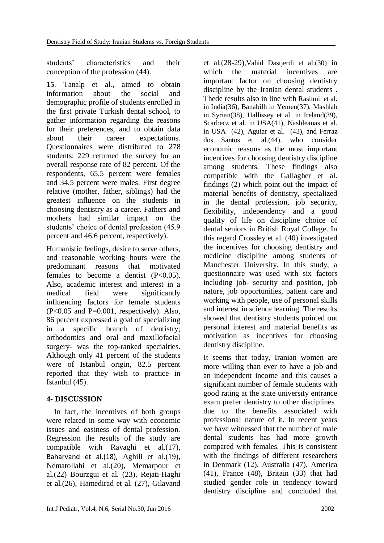students' characteristics and their conception of the profession (44).

**15**. Tanalp et al., aimed to obtain information about the social and demographic profile of students enrolled in the first private Turkish dental school, to gather information regarding the reasons for their preferences, and to obtain data about their career expectations. Questionnaires were distributed to 278 students; 229 returned the survey for an overall response rate of 82 percent. Of the respondents, 65.5 percent were females and 34.5 percent were males. First degree relative (mother, father, siblings) had the greatest influence on the students in choosing dentistry as a career. Fathers and mothers had similar impact on the students' choice of dental profession (45.9 percent and 46.6 percent, respectively).

Humanistic feelings, desire to serve others, and reasonable working hours were the predominant reasons that motivated females to become a dentist  $(P<0.05)$ . Also, academic interest and interest in a medical field were significantly influencing factors for female students  $(P<0.05$  and  $P=0.001$ , respectively). Also, 86 percent expressed a goal of specializing in a specific branch of dentistry; orthodontics and oral and maxillofacial surgery- was the top-ranked specialties. Although only 41 percent of the students were of Istanbul origin, 82.5 percent reported that they wish to practice in Istanbul (45).

## **4- DISCUSSION**

 In fact, the incentives of both groups were related in some way with economic issues and easiness of dental profession. Regression the results of the study are compatible with Ravaghi et al.(17), Baharvand et al.(18), Aghili et al.(19), Nematollahi et al.(20), Memarpour et al.(22) Bourzgui et al. (23), Rejati-Haghi et al.(26), Hamedirad et al. (27), Gilavand

et al.(28-29),Vahid Dastjerdi et al.(30) in which the material incentives are important factor on choosing dentistry discipline by the Iranian dental students . Thede results also in line with Rashmi et al. in India(36), Banabilh in Yemen(37), Mashlah in Syrian(38), Hallissey et al. in Ireland(39), Scarbecz et al. in USA(41), Nashleanas et al. in USA (42), Aguiar et al. (43), and Ferraz dos Santos et al.(44), who consider economic reasons as the most important incentives for choosing dentistry discipline among students. These findings also compatible with the Gallagher et al. findings (2) which point out the impact of material benefits of dentistry, specialized in the dental profession, job security, flexibility, independency and a good quality of life on discipline choice of dental seniors in British Royal College. In this regard Crossley et al. (40) investigated the incentives for choosing dentistry and medicine discipline among students of Manchester University. In this study, a questionnaire was used with six factors including job- security and position, job nature, job opportunities, patient care and working with people, use of personal skills and interest in science learning. The results showed that dentistry students pointed out personal interest and material benefits as motivation as incentives for choosing dentistry discipline.

It seems that today, Iranian women are more willing than ever to have a job and an independent income and this causes a significant number of female students with good rating at the state university entrance exam prefer dentistry to other disciplines due to the benefits associated with professional nature of it. In recent years we have witnessed that the number of male dental students has had more growth compared with females. This is consistent with the findings of different researchers in Denmark (12), Australia (47), America (41), France (48), Britain (33) that had studied gender role in tendency toward dentistry discipline and concluded that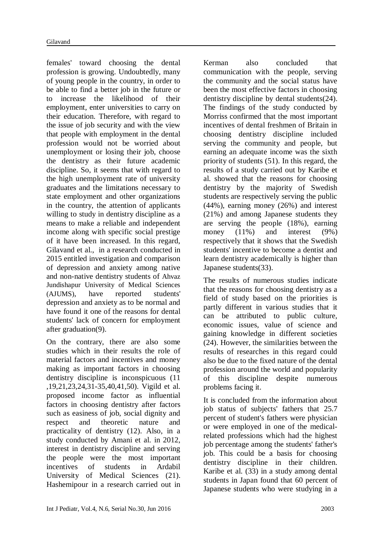females' toward choosing the dental profession is growing. Undoubtedly, many of young people in the country, in order to be able to find a better job in the future or to increase the likelihood of their employment, enter universities to carry on their education. Therefore, with regard to the issue of job security and with the view that people with employment in the dental profession would not be worried about unemployment or losing their job, choose the dentistry as their future academic discipline. So, it seems that with regard to the high unemployment rate of university graduates and the limitations necessary to state employment and other organizations in the country, the attention of applicants willing to study in dentistry discipline as a means to make a reliable and independent income along with specific social prestige of it have been increased. In this regard, Gilavand et al., in a research conducted in 2015 entitled investigation and comparison of depression and anxiety among native and non-native dentistry students of Ahvaz Jundishapur University of Medical Sciences (AJUMS), have reported students' depression and anxiety as to be normal and have found it one of the reasons for dental students' lack of concern for employment after graduation(9).

On the contrary, there are also some studies which in their results the role of material factors and incentives and money making as important factors in choosing dentistry discipline is inconspicuous (11 ,19,21,23,24,31-35,40,41,50). Vigild et al. proposed income factor as influential factors in choosing dentistry after factors such as easiness of job, social dignity and respect and theoretic nature and practicality of dentistry (12). Also, in a study conducted by Amani et al. in 2012, interest in dentistry discipline and serving the people were the most important incentives of students in Ardabil University of Medical Sciences (21). Hashemipour in a research carried out in

percent of student's fathers were physician or were employed in one of the medicalrelated professions which had the highest job percentage among the students' father's

Kerman also concluded that communication with the people, serving the community and the social status have been the most effective factors in choosing dentistry discipline by dental students(24). The findings of the study conducted by Morriss confirmed that the most important incentives of dental freshmen of Britain in choosing dentistry discipline included serving the community and people, but earning an adequate income was the sixth priority of students (51). In this regard, the results of a study carried out by Karibe et al. showed that the reasons for choosing dentistry by the majority of Swedish students are respectively serving the public (44%), earning money (26%) and interest (21%) and among Japanese students they are serving the people (18%), earning money (11%) and interest (9%) respectively that it shows that the Swedish students' incentive to become a dentist and learn dentistry academically is higher than Japanese students(33).

The results of numerous studies indicate that the reasons for choosing dentistry as a field of study based on the priorities is partly different in various studies that it can be attributed to public culture, economic issues, value of science and gaining knowledge in different societies (24). However, the similarities between the results of researches in this regard could also be due to the fixed nature of the dental profession around the world and popularity of this discipline despite numerous problems facing it.

It is concluded from the information about job status of subjects' fathers that 25.7

job. This could be a basis for choosing dentistry discipline in their children. Karibe et al. (33) in a study among dental students in Japan found that 60 percent of Japanese students who were studying in a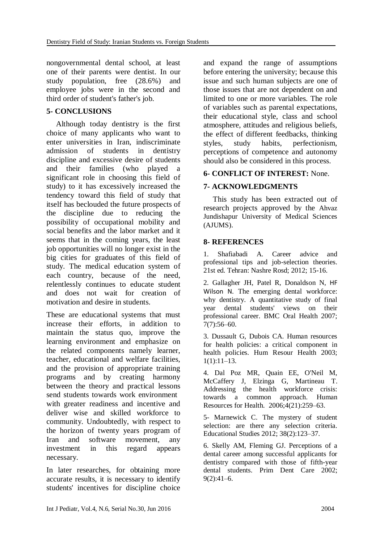nongovernmental dental school, at least one of their parents were dentist. In our study population, free (28.6%) and employee jobs were in the second and third order of student's father's job.

## **5- CONCLUSIONS**

 Although today dentistry is the first choice of many applicants who want to enter universities in Iran, indiscriminate admission of students in dentistry discipline and excessive desire of students and their families (who played a significant role in choosing this field of study) to it has excessively increased the tendency toward this field of study that itself has beclouded the future prospects of the discipline due to reducing the possibility of occupational mobility and social benefits and the labor market and it seems that in the coming years, the least job opportunities will no longer exist in the big cities for graduates of this field of study. The medical education system of each country, because of the need, relentlessly continues to educate student and does not wait for creation of motivation and desire in students.

These are educational systems that must increase their efforts, in addition to maintain the status quo, improve the learning environment and emphasize on the related components namely learner, teacher, educational and welfare facilities, and the provision of appropriate training programs and by creating harmony between the theory and practical lessons send students towards work environment with greater readiness and incentive and deliver wise and skilled workforce to community. Undoubtedly, with respect to the horizon of twenty years program of Iran and software movement, any investment in this regard appears necessary.

In later researches, for obtaining more accurate results, it is necessary to identify students' incentives for discipline choice and expand the range of assumptions before entering the university; because this issue and such human subjects are one of those issues that are not dependent on and limited to one or more variables. The role of variables such as parental expectations, their educational style, class and school atmosphere, attitudes and religious beliefs, the effect of different feedbacks, thinking styles, study habits, perfectionism, perceptions of competence and autonomy should also be considered in this process.

## **6- CONFLICT OF INTEREST:** None.

## **7- ACKNOWLEDGMENTS**

 This study has been extracted out of research projects approved by the Ahvaz Jundishapur University of Medical Sciences (AJUMS).

## **8- REFERENCES**

1. Shafiabadi A. Career advice and professional tips and job-selection theories. 21st ed. Tehran: Nashre Rosd; 2012; 15-16.

2. Gallagher JH, Patel R, Donaldson N, HF Wilson N. The emerging dental workforce: why dentistry. A quantitative study of final year dental students' views on their professional career. BMC Oral Health 2007; 7(7):56–60.

3. Dussault G, Dubois CA. Human resources for health policies: a critical component in health policies. Hum Resour Health 2003;  $1(1):11-13.$ 

4. Dal Poz MR, Quain EE, O'Neil M, McCaffery J, Elzinga G, Martineau T. Addressing the health workforce crisis: towards a common approach. Human Resources for Health. 2006;4(21):259–63.

5- Marnewick C. The mystery of student selection: are there any selection criteria. Educational Studies 2012; 38(2):123–37.

6. Skelly AM, Fleming GJ. Perceptions of a dental career among successful applicants for dentistry compared with those of fifth-year dental students. Prim Dent Care 2002;  $9(2):41-6.$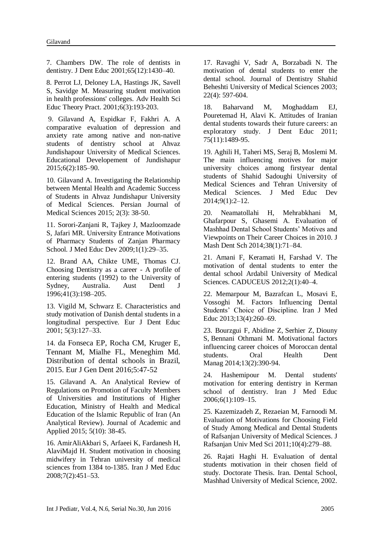7. Chambers DW. The role of dentists in dentistry. J Dent Educ 2001;65(12):1430–40.

8. [Perrot LJ,](http://www.ncbi.nlm.nih.gov/pubmed/?term=Perrot%20LJ%5BAuthor%5D&cauthor=true&cauthor_uid=11709634) [Deloney LA,](http://www.ncbi.nlm.nih.gov/pubmed/?term=Deloney%20LA%5BAuthor%5D&cauthor=true&cauthor_uid=11709634) [Hastings JK,](http://www.ncbi.nlm.nih.gov/pubmed/?term=Hastings%20JK%5BAuthor%5D&cauthor=true&cauthor_uid=11709634) [Savell](http://www.ncbi.nlm.nih.gov/pubmed/?term=Savell%20S%5BAuthor%5D&cauthor=true&cauthor_uid=11709634)  [S,](http://www.ncbi.nlm.nih.gov/pubmed/?term=Savell%20S%5BAuthor%5D&cauthor=true&cauthor_uid=11709634) [Savidge M.](http://www.ncbi.nlm.nih.gov/pubmed/?term=Savidge%20M%5BAuthor%5D&cauthor=true&cauthor_uid=11709634) Measuring student motivation in health professions' colleges. [Adv Health Sci](http://www.ncbi.nlm.nih.gov/pubmed/11709634)  [Educ Theory Pract.](http://www.ncbi.nlm.nih.gov/pubmed/11709634) 2001;6(3):193-203.

9. Gilavand A, Espidkar F, Fakhri A. A comparative evaluation of depression and anxiety rate among native and non-native students of dentistry school at Ahvaz Jundishapour University of Medical Sciences. [Educational Developement of Jundishapur](http://journals.ajums.ac.ir/journalInfo.php?rQV==wHQ0EDQ6QWSsFGdy9GUsFmbyV3bq9lZ8BEMApDZJ52bpR3Yh9lZ) 2015;6(2):185–90.

10. Gilavand A. Investigating the Relationship between Mental Health and Academic Success of Students in Ahvaz Jundishapur University of Medical Sciences. Persian Journal of Medical Sciences 2015; 2(3): 38-50.

11. Sorori-Zanjani R, Tajkey J, Mazloomzade S, Jafari MR. University Entrance Motivations of Pharmacy Students of Zanjan Pharmacy School. J Med Educ Dev 2009;1(1):29–35.

12. Brand AA, Chikte UME, Thomas CJ. Choosing Dentistry as a career - A profile of entering students (1992) to the University of Sydney, Australia. Aust Dentl J 1996;41(3):198–205.

13. Vigild M, Schwarz E. Characteristics and study motivation of Danish dental students in a longitudinal perspective. Eur J Dent Educ 2001; 5(3):127–33.

14. da Fonseca EP, Rocha CM, Kruger E, Tennant M, Mialhe FL, Meneghim Md. Distribution of dental schools in Brazil, 2015. Eur J Gen Dent 2016;5:47-52

15. Gilavand A. An Analytical Review of Regulations on Promotion of Faculty Members of Universities and Institutions of Higher Education, Ministry of Health and Medical Education of the Islamic Republic of Iran (An Analytical Review). Journal of Academic and Applied 2015; 5(10): 38-45.

16. AmirAliAkbari S, Arfaeei K, Fardanesh H, AlaviMajd H. Student motivation in choosing midwifery in Tehran university of medical sciences from 1384 to-1385. Iran J Med Educ 2008;7(2):451–53.

17. Ravaghi V, Sadr A, Borzabadi N. The motivation of dental students to enter the dental school. Journal of Dentistry Shahid Beheshti University of Medical Sciences 2003; 22(4): 597-604.

18. Baharvand M, Moghaddam EJ, Pouretemad H, Alavi K. Attitudes of Iranian dental students towards their future careers: an exploratory study. J Dent Educ 2011; 75(11):1489-95.

19. Aghili H, Taheri MS, Seraj B, Moslemi M. The main influencing motives for major university choices among firstyear dental students of Shahid Sadoughi University of Medical Sciences and Tehran University of Medical Sciences. J Med Educ Dev 2014;9(1):2–12.

20. Neamatollahi H, Mehrabkhani M, Ghafarpour S, Ghasemi A. Evaluation of Mashhad Dental School Students' Motives and Viewpoints on Their Career Choices in 2010. J Mash Dent Sch 2014;38(1):71–84.

21. Amani F, Keramati H, Farshad V. The motivation of dental students to enter the dental school Ardabil University of Medical Sciences. CADUCEUS 2012;2(1):40–4.

22. Memarpour M, Bazrafcan L, Mosavi E, Vossoghi M. Factors Influencing Dental Students' Choice of Discipline. Iran J Med Educ 2013;13(4):260–69.

23. [Bourzgui F,](http://www.ncbi.nlm.nih.gov/pubmed/?term=Bourzgui%20F%5BAuthor%5D&cauthor=true&cauthor_uid=24984653) [Abidine Z,](http://www.ncbi.nlm.nih.gov/pubmed/?term=Abidine%20Z%5BAuthor%5D&cauthor=true&cauthor_uid=24984653) [Serhier Z,](http://www.ncbi.nlm.nih.gov/pubmed/?term=Serhier%20Z%5BAuthor%5D&cauthor=true&cauthor_uid=24984653) [Diouny](http://www.ncbi.nlm.nih.gov/pubmed/?term=Diouny%20S%5BAuthor%5D&cauthor=true&cauthor_uid=24984653)  [S,](http://www.ncbi.nlm.nih.gov/pubmed/?term=Diouny%20S%5BAuthor%5D&cauthor=true&cauthor_uid=24984653) [Bennani Othmani M.](http://www.ncbi.nlm.nih.gov/pubmed/?term=Bennani%20Othmani%20M%5BAuthor%5D&cauthor=true&cauthor_uid=24984653) Motivational factors influencing career choices of Moroccan dental students. Oral Health Dent [Manag](http://www.ncbi.nlm.nih.gov/pubmed/24984653) 2014;13(2):390-94.

24. Hashemipour M. Dental students' motivation for entering dentistry in Kerman school of dentistry. Iran J Med Educ 2006;6(1):109–15.

25. Kazemizadeh Z, Rezaeian M, Farnoodi M. Evaluation of Motivations for Choosing Field of Study Among Medical and Dental Students of Rafsanjan University of Medical Sciences. J Rafsanjan Univ Med Sci 2011;10(4):279–88.

26. Rajati Haghi H. Evaluation of dental students motivation in their chosen field of study. Doctorate Thesis. Iran. Dental School, Mashhad University of Medical Science, 2002.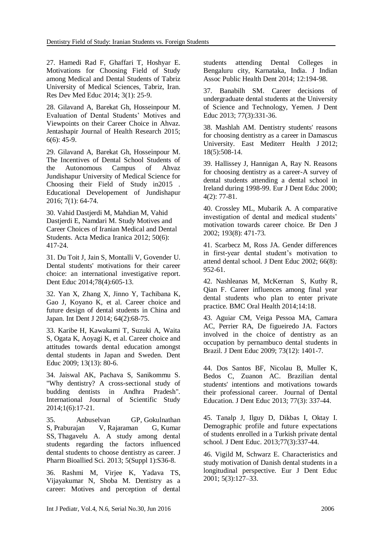27. Hamedi Rad F, Ghaffari T, Hoshyar E. Motivations for Choosing Field of Study among Medical and Dental Students of Tabriz University of Medical Sciences, Tabriz, Iran. Res Dev Med Educ 2014; 3(1): 25-9.

28. Gilavand A, Barekat Gh, Hosseinpour M. Evaluation of Dental Students' Motives and Viewpoints on their Career Choice in Ahvaz. Jentashapir Journal of Health Research 2015; 6(6): 45-9.

29. Gilavand A, Barekat Gh, Hosseinpour M. The Incentives of Dental School Students of the Autonomous Campus of Ahvaz Jundishapur University of Medical Science for Choosing their Field of Study in2015 . [Educational Developement of Jundishapur](http://journals.ajums.ac.ir/journalInfo.php?rQV==wHQ0EDQ6QWSsFGdy9GUsFmbyV3bq9lZ8BEMApDZJ52bpR3Yh9lZ) 2016; 7(1): 64-74.

30. Vahid Dastjerdi M, Mahdian M, Vahid Dastjerdi E, Namdari M. Study Motives and Career Choices of Iranian Medical and Dental Students. Acta Medica Iranica 2012; 50(6): 417-24.

31. [Du Toit J,](http://www.ncbi.nlm.nih.gov/pubmed/?term=Du%20Toit%20J%5BAuthor%5D&cauthor=true&cauthor_uid=24706691) [Jain S,](http://www.ncbi.nlm.nih.gov/pubmed/?term=Jain%20S%5BAuthor%5D&cauthor=true&cauthor_uid=24706691) [Montalli V,](http://www.ncbi.nlm.nih.gov/pubmed/?term=Montalli%20V%5BAuthor%5D&cauthor=true&cauthor_uid=24706691) [Govender U.](http://www.ncbi.nlm.nih.gov/pubmed/?term=Govender%20U%5BAuthor%5D&cauthor=true&cauthor_uid=24706691) Dental students' motivations for their career choice: an international investigative report. [Dent Educ](http://www.ncbi.nlm.nih.gov/pubmed/24706691) 2014;78(4):605-13.

32. [Yan X,](http://www.ncbi.nlm.nih.gov/pubmed/?term=Yan%20X%5BAuthor%5D&cauthor=true&cauthor_uid=24571728) [Zhang X,](http://www.ncbi.nlm.nih.gov/pubmed/?term=Zhang%20X%5BAuthor%5D&cauthor=true&cauthor_uid=24571728) [Jinno Y,](http://www.ncbi.nlm.nih.gov/pubmed/?term=Jinno%20Y%5BAuthor%5D&cauthor=true&cauthor_uid=24571728) [Tachibana K,](http://www.ncbi.nlm.nih.gov/pubmed/?term=Tachibana%20K%5BAuthor%5D&cauthor=true&cauthor_uid=24571728) [Gao J,](http://www.ncbi.nlm.nih.gov/pubmed/?term=Gao%20J%5BAuthor%5D&cauthor=true&cauthor_uid=24571728) [Koyano K,](http://www.ncbi.nlm.nih.gov/pubmed/?term=Koyano%20K%5BAuthor%5D&cauthor=true&cauthor_uid=24571728) et al. Career choice and future design of dental students in China and Japan. [Int Dent J](http://www.ncbi.nlm.nih.gov/pubmed/24571728) 2014; 64(2):68-75.

33. Karibe H, Kawakami T, Suzuki A, Waita S, Ogata K, Aoyagi K, et al. Career choice and attitudes towards dental education amongst dental students in Japan and Sweden. Dent Educ 2009; 13(13): 80-6.

34. Jaiswal AK, Pachava S, Sanikommu S. "Why dentistry? A cross-sectional study of budding dentists in Andhra Pradesh". International Journal of Scientific Study 2014;1(6):17-21.

35. [Anbuselvan GP,](http://www.ncbi.nlm.nih.gov/pubmed/?term=Anbuselvan%20GP%5BAuthor%5D&cauthor=true&cauthor_uid=23946573) [Gokulnathan](http://www.ncbi.nlm.nih.gov/pubmed/?term=Gokulnathan%20S%5BAuthor%5D&cauthor=true&cauthor_uid=23946573)  [S,](http://www.ncbi.nlm.nih.gov/pubmed/?term=Gokulnathan%20S%5BAuthor%5D&cauthor=true&cauthor_uid=23946573) [Praburajan V,](http://www.ncbi.nlm.nih.gov/pubmed/?term=Praburajan%20V%5BAuthor%5D&cauthor=true&cauthor_uid=23946573) [Rajaraman G,](http://www.ncbi.nlm.nih.gov/pubmed/?term=Rajaraman%20G%5BAuthor%5D&cauthor=true&cauthor_uid=23946573) [Kumar](http://www.ncbi.nlm.nih.gov/pubmed/?term=Kumar%20SS%5BAuthor%5D&cauthor=true&cauthor_uid=23946573)  [SS,](http://www.ncbi.nlm.nih.gov/pubmed/?term=Kumar%20SS%5BAuthor%5D&cauthor=true&cauthor_uid=23946573) [Thagavelu A.](http://www.ncbi.nlm.nih.gov/pubmed/?term=Thagavelu%20A%5BAuthor%5D&cauthor=true&cauthor_uid=23946573) A study among dental students regarding the factors influenced dental students to choose dentistry as career. [J](http://www.ncbi.nlm.nih.gov/pubmed/23946573)  [Pharm Bioallied Sci.](http://www.ncbi.nlm.nih.gov/pubmed/23946573) 2013; 5(Suppl 1):S36-8.

36. Rashmi M, Virjee K, Yadava TS, Vijayakumar N, Shoba M. Dentistry as a career: Motives and perception of dental students attending Dental Colleges in Bengaluru city, Karnataka, India. J Indian Assoc Public Health Dent 2014; 12:194-98.

37. [Banabilh SM.](http://www.ncbi.nlm.nih.gov/pubmed/?term=Banabilh%20SM%5BAuthor%5D&cauthor=true&cauthor_uid=23486897) Career decisions of undergraduate dental students at the University of Science and Technology, Yemen. [J Dent](http://www.ncbi.nlm.nih.gov/pubmed/23486897)  [Educ](http://www.ncbi.nlm.nih.gov/pubmed/23486897) 2013; 77(3):331-36.

38. [Mashlah AM.](http://www.ncbi.nlm.nih.gov/pubmed/?term=Mashlah%20AM%5BAuthor%5D&cauthor=true&cauthor_uid=22764439) Dentistry students' reasons for choosing dentistry as a career in Damascus University. [East Mediterr Health J](http://www.ncbi.nlm.nih.gov/pubmed/22764439) 2012; 18(5):508-14.

39. Hallissey J, Hannigan A, Ray N. Reasons for choosing dentistry as a career-A survey of dental students attending a dental school in Ireland during 1998-99. Eur J Dent Educ 2000; 4(2): 77-81.

40. Crossley ML, Mubarik A. A comparative investigation of dental and medical students' motivation towards career choice. Br Den J 2002; 193(8): 471-73.

41. Scarbecz M, Ross JA. Gender differences in first-year dental student's motivation to attend dental school. J Dent Educ 2002; 66(8): 952-61.

42. Nashleanas M, McKernan S, Kuthy R, Qian F. Career influences among final year dental students who plan to enter private practice. [BMC Oral Health](http://www.ncbi.nlm.nih.gov/pubmed/24606674) 2014;14:18.

43. Aguiar CM, Veiga Pessoa MA, Camara AC, Perrier RA, De figueiredo JA. Factors involved in the choice of dentistry as an occupation by pernambuco dental students in Brazil. J Dent Educ 2009; 73(12): 1401-7.

44. [Dos Santos BF,](http://www.ncbi.nlm.nih.gov/pubmed/?term=dos%20Santos%20BF%5BAuthor%5D&cauthor=true&cauthor_uid=23486898) [Nicolau B,](http://www.ncbi.nlm.nih.gov/pubmed/?term=Nicolau%20B%5BAuthor%5D&cauthor=true&cauthor_uid=23486898) [Muller K,](http://www.ncbi.nlm.nih.gov/pubmed/?term=Muller%20K%5BAuthor%5D&cauthor=true&cauthor_uid=23486898) [Bedos C,](http://www.ncbi.nlm.nih.gov/pubmed/?term=Bedos%20C%5BAuthor%5D&cauthor=true&cauthor_uid=23486898) [Zuanon AC.](http://www.ncbi.nlm.nih.gov/pubmed/?term=Zuanon%20AC%5BAuthor%5D&cauthor=true&cauthor_uid=23486898) Brazilian dental students' intentions and motivations towards their professional career. Journal of Dental Education. J Dent Educ 2013; 77(3): 337-44.

45. [Tanalp J,](http://www.ncbi.nlm.nih.gov/pubmed/?term=Tanalp%20J%5BAuthor%5D&cauthor=true&cauthor_uid=22659710) [Ilguy D,](http://www.ncbi.nlm.nih.gov/pubmed/?term=Ilguy%20D%5BAuthor%5D&cauthor=true&cauthor_uid=22659710) [Dikbas I,](http://www.ncbi.nlm.nih.gov/pubmed/?term=Dikbas%20I%5BAuthor%5D&cauthor=true&cauthor_uid=22659710) [Oktay I.](http://www.ncbi.nlm.nih.gov/pubmed/?term=Oktay%20I%5BAuthor%5D&cauthor=true&cauthor_uid=22659710) Demographic profile and future expectations of students enrolled in a Turkish private dental school. [J Dent Educ.](http://www.ncbi.nlm.nih.gov/pubmed/23486898) 2013;77(3):337-44.

46. Vigild M, Schwarz E. Characteristics and study motivation of Danish dental students in a longitudinal perspective. Eur J Dent Educ 2001; 5(3):127–33.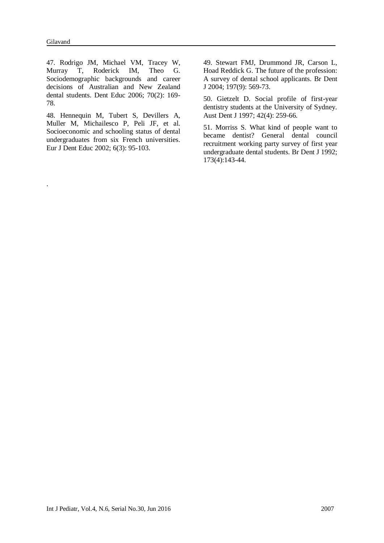.

47. Rodrigo JM, Michael VM, Tracey W, Murray T, Roderick IM, Theo G. Sociodemographic backgrounds and career decisions of Australian and New Zealand dental students. Dent Educ 2006; 70(2): 169- 78.

48. Hennequin M, Tubert S, Devillers A, Muller M, Michailesco P, Peli JF, et al. Socioeconomic and schooling status of dental undergraduates from six French universities. Eur J Dent Educ 2002; 6(3): 95-103.

49. Stewart FMJ, Drummond JR, Carson L, Hoad Reddick G. The future of the profession: A survey of dental school applicants. Br Dent J 2004; 197(9): 569-73.

50. Gietzelt D. Social profile of first-year dentistry students at the University of Sydney. Aust Dent J 1997; 42(4): 259-66.

51. Morriss S. What kind of people want to became dentist? General dental council recruitment working party survey of first year undergraduate dental students. Br Dent J 1992; 173(4):143-44.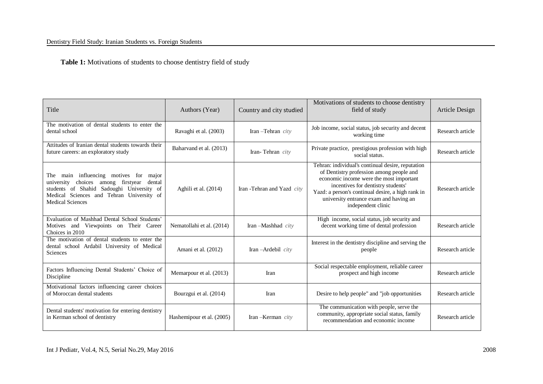### Dentistry Field Study: Iranian Students vs. Foreign Students

 **Table 1:** Motivations of students to choose dentistry field of study

| Title                                                                                                                                                                                                             | Authors (Year)            | Country and city studied   | Motivations of students to choose dentistry<br>field of study                                                                                                                                                                                                                                       | Article Design   |
|-------------------------------------------------------------------------------------------------------------------------------------------------------------------------------------------------------------------|---------------------------|----------------------------|-----------------------------------------------------------------------------------------------------------------------------------------------------------------------------------------------------------------------------------------------------------------------------------------------------|------------------|
| The motivation of dental students to enter the<br>dental school                                                                                                                                                   | Ravaghi et al. (2003)     | Iran-Tehran city           | Job income, social status, job security and decent<br>working time                                                                                                                                                                                                                                  | Research article |
| Attitudes of Iranian dental students towards their<br>future careers: an exploratory study                                                                                                                        | Baharvand et al. (2013)   | Iran-Tehran city           | Private practice, prestigious profession with high<br>social status.                                                                                                                                                                                                                                | Research article |
| main influencing motives for major<br>The<br>choices among firstyear<br>dental<br>university<br>students of Shahid Sadoughi University of<br>Medical Sciences and Tehran University of<br><b>Medical Sciences</b> | Aghili et al. (2014)      | Iran -Tehran and Yazd city | Tehran: individual's continual desire, reputation<br>of Dentistry profession among people and<br>economic income were the most important<br>incentives for dentistry students'<br>Yazd: a person's continual desire, a high rank in<br>university entrance exam and having an<br>independent clinic | Research article |
| Evaluation of Mashhad Dental School Students'<br>Motives and Viewpoints on Their Career<br>Choices in 2010                                                                                                        | Nematollahi et al. (2014) | Iran-Mashhad city          | High income, social status, job security and<br>decent working time of dental profession                                                                                                                                                                                                            | Research article |
| The motivation of dental students to enter the<br>dental school Ardabil University of Medical<br><b>Sciences</b>                                                                                                  | Amani et al. (2012)       | Iran-Ardebil city          | Interest in the dentistry discipline and serving the<br>people                                                                                                                                                                                                                                      | Research article |
| Factors Influencing Dental Students' Choice of<br>Discipline                                                                                                                                                      | Memarpour et al. (2013)   | Iran                       | Social respectable employment, reliable career<br>prospect and high income                                                                                                                                                                                                                          | Research article |
| Motivational factors influencing career choices<br>of Moroccan dental students                                                                                                                                    | Bourzgui et al. (2014)    | Iran                       | Desire to help people" and "job opportunities                                                                                                                                                                                                                                                       | Research article |
| Dental students' motivation for entering dentistry<br>in Kerman school of dentistry                                                                                                                               | Hashemipour et al. (2005) | Iran $-Kerman$ <i>city</i> | The communication with people, serve the<br>community, appropriate social status, family<br>recommendation and economic income                                                                                                                                                                      | Research article |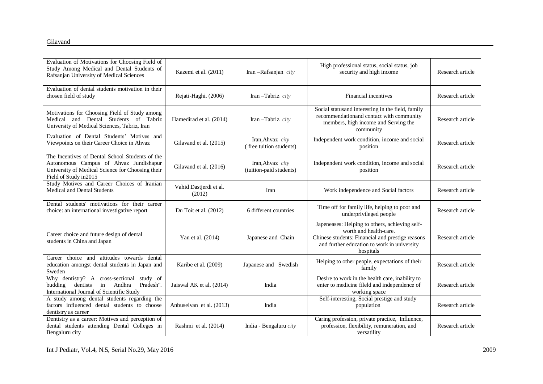| Evaluation of Motivations for Choosing Field of<br>Study Among Medical and Dental Students of<br>Rafsanjan University of Medical Sciences                               | Kazemi et al. (2011)             | Iran-Rafsanjan city                         | High professional status, social status, job<br>security and high income                                                                                                                 | Research article |
|-------------------------------------------------------------------------------------------------------------------------------------------------------------------------|----------------------------------|---------------------------------------------|------------------------------------------------------------------------------------------------------------------------------------------------------------------------------------------|------------------|
| Evaluation of dental students motivation in their<br>chosen field of study                                                                                              | Rejati-Haghi. (2006)             | Iran-Tabriz city                            | Financial incentives                                                                                                                                                                     | Research article |
| Motivations for Choosing Field of Study among<br>and Dental Students of Tabriz<br>Medical<br>University of Medical Sciences, Tabriz, Iran                               | Hamedirad et al. (2014)          | Iran-Tabriz city                            | Social statusand interesting in the field, family<br>recommendationand contact with community<br>members, high income and Serving the<br>community                                       | Research article |
| Evaluation of Dental Students' Motives and<br>Viewpoints on their Career Choice in Ahvaz                                                                                | Gilavand et al. (2015)           | Iran, Ahvaz city<br>(free tuition students) | Independent work condition, income and social<br>position                                                                                                                                | Research article |
| The Incentives of Dental School Students of the<br>Autonomous Campus of Ahvaz Jundishapur<br>University of Medical Science for Choosing their<br>Field of Study in 2015 | Gilavand et al. (2016)           | Iran, Ahvaz city<br>(tuition-paid students) | Independent work condition, income and social<br>position                                                                                                                                | Research article |
| Study Motives and Career Choices of Iranian<br>Medical and Dental Students                                                                                              | Vahid Dastjerdi et al.<br>(2012) | Iran                                        | Work independence and Social factors                                                                                                                                                     | Research article |
| Dental students' motivations for their career<br>choice: an international investigative report                                                                          | Du Toit et al. (2012)            | 6 different countries                       | Time off for family life, helping to poor and<br>underprivileged people                                                                                                                  | Research article |
| Career choice and future design of dental<br>students in China and Japan                                                                                                | Yan et al. (2014)                | Japanese and Chain                          | Japeneases: Helping to others, achieving self-<br>worth and health-care.<br>Chinese students: Financial and prestige reasons<br>and further education to work in university<br>hospitals | Research article |
| Career choice and attitudes towards dental<br>education amongst dental students in Japan and<br>Sweden                                                                  | Karibe et al. (2009)             | Japanese and Swedish                        | Helping to other people, expectations of their<br>family                                                                                                                                 | Research article |
| Why dentistry? A cross-sectional study of<br>in<br>Andhra<br>dentists<br>Pradesh".<br>budding<br>International Journal of Scientific Study                              | Jaiswal AK et al. (2014)         | India                                       | Desire to work in the health care, inability to<br>enter to medicine fileld and independence of<br>working space                                                                         | Research article |
| A study among dental students regarding the<br>factors influenced dental students to choose<br>dentistry as career                                                      | Anbuselvan et al. (2013)         | India                                       | Self-interesting, Social prestige and study<br>population                                                                                                                                | Research article |
| Dentistry as a career: Motives and perception of<br>dental students attending Dental Colleges in<br>Bengaluru city                                                      | Rashmi et al. (2014)             | India - Bengaluru city                      | Caring profession, private practice, Influence,<br>profession, flexibility, remuneration, and<br>versatility                                                                             | Research article |